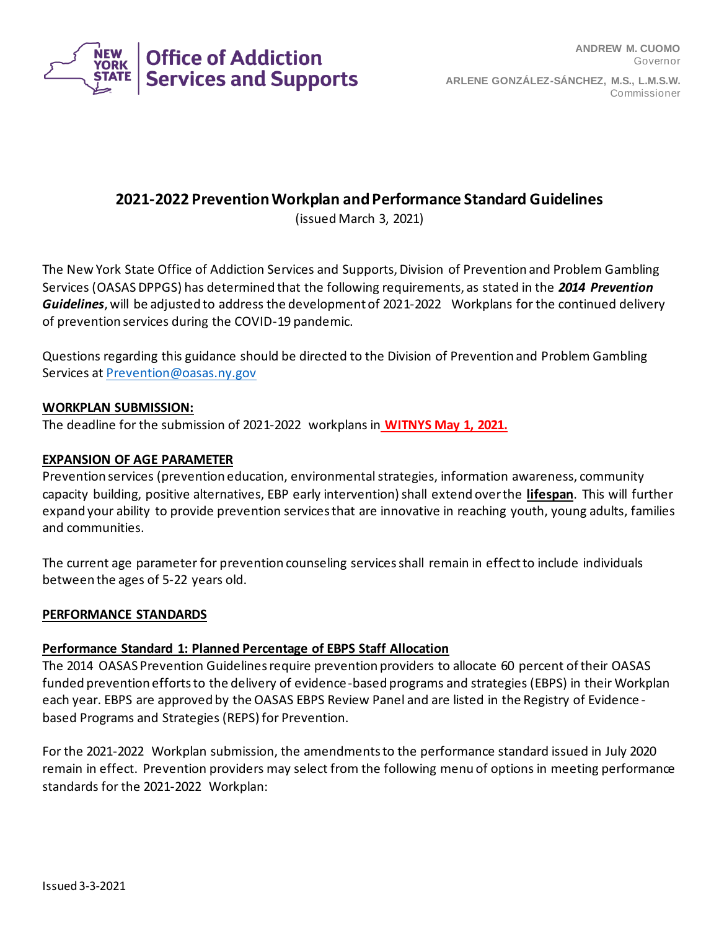

# **2021-2022 Prevention Workplan and Performance Standard Guidelines**

(issued March 3, 2021)

The New York State Office of Addiction Services and Supports, Division of Prevention and Problem Gambling Services (OASAS DPPGS) has determined that the following requirements, as stated in the *2014 Prevention Guidelines*, will be adjusted to address the development of 2021-2022 Workplans for the continued delivery of prevention services during the COVID-19 pandemic.

Questions regarding this guidance should be directed to the Division of Prevention and Problem Gambling Services at [Prevention@oasas.ny.gov](mailto:Prevention@oasas.ny.gov)

### **WORKPLAN SUBMISSION:**

The deadline for the submission of 2021-2022 workplans in **WITNYS May 1, 2021.**

#### **EXPANSION OF AGE PARAMETER**

Prevention services (prevention education, environmental strategies, information awareness, community capacity building, positive alternatives, EBP early intervention) shall extend over the **lifespan**. This will further expand your ability to provide prevention services that are innovative in reaching youth, young adults, families and communities.

The current age parameter for prevention counseling services shall remain in effect to include individuals between the ages of 5-22 years old.

#### **PERFORMANCE STANDARDS**

### **Performance Standard 1: Planned Percentage of EBPS Staff Allocation**

The 2014 OASAS Prevention Guidelines require prevention providers to allocate 60 percent of their OASAS funded prevention efforts to the delivery of evidence-based programs and strategies (EBPS) in their Workplan each year. EBPS are approved by the OASAS EBPS Review Panel and are listed in the Registry of Evidence based Programs and Strategies (REPS) for Prevention.

For the 2021-2022 Workplan submission, the amendments to the performance standard issued in July 2020 remain in effect. Prevention providers may select from the following menu of options in meeting performance standards for the 2021-2022 Workplan: